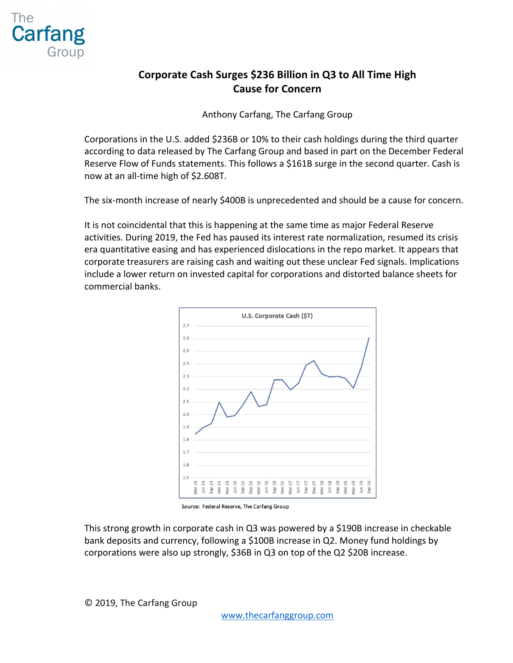

## **Corporate Cash Surges \$236 Billion in Q3 to All Time High Cause for Concern**

Anthony Carfang, The Carfang Group

Corporations in the U.S. added \$236B or 10% to their cash holdings during the third quarter according to data released by The Carfang Group and based in part on the December Federal Reserve Flow of Funds statements. This follows a \$161B surge in the second quarter. Cash is now at an all-time high of \$2.608T.

The six-month increase of nearly \$400B is unprecedented and should be a cause for concern.

It is not coincidental that this is happening at the same time as major Federal Reserve activities. During 2019, the Fed has paused its interest rate normalization, resumed its crisis era quantitative easing and has experienced dislocations in the repo market. It appears that corporate treasurers are raising cash and waiting out these unclear Fed signals. Implications include a lower return on invested capital for corporations and distorted balance sheets for commercial banks.



Source: Federal Reserve, The Carfang Group

This strong growth in corporate cash in Q3 was powered by a \$190B increase in checkable bank deposits and currency, following a \$100B increase in Q2. Money fund holdings by corporations were also up strongly, \$36B in Q3 on top of the Q2 \$20B increase.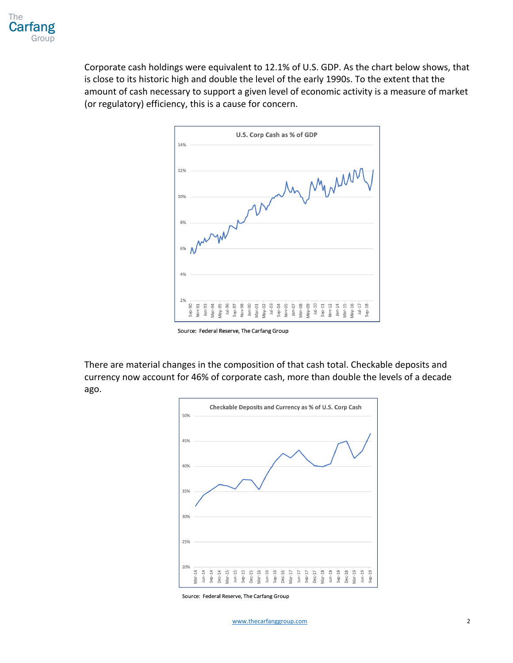

Corporate cash holdings were equivalent to 12.1% of U.S. GDP. As the chart below shows, that is close to its historic high and double the level of the early 1990s. To the extent that the amount of cash necessary to support a given level of economic activity is a measure of market (or regulatory) efficiency, this is a cause for concern.



Source: Federal Reserve, The Carfang Group

There are material changes in the composition of that cash total. Checkable deposits and currency now account for 46% of corporate cash, more than double the levels of a decade ago.



Source: Federal Reserve, The Carfang Group